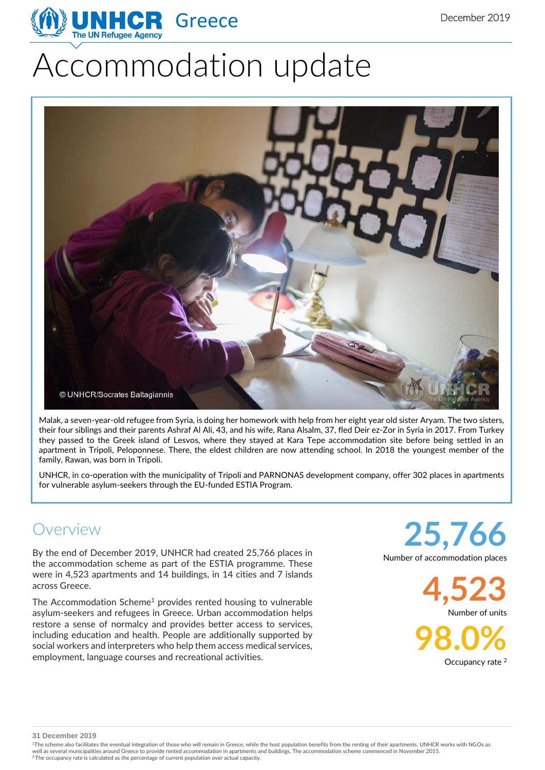# Accommodation update



Malak, a seven-year-old refugee from Syria, is doing her homework with help from her eight year old sister Aryam. The two sisters, their four siblings and their parents Ashraf Al Ali, 43, and his wife, Rana Alsalm, 37, fled Deir ez-Zor in Syria in 2017. From Turkey they passed to the Greek island of Lesvos, where they stayed at Kara Tepe accommodation site before being settled in an apartment in Tripoli, Peloponnese. There, the eldest children are now attending school. In 2018 the youngest member of the family, Rawan, was born in Tripoli.

UNHCR, in co-operation with the municipality of Tripoli and PARNONAS development company, offer 302 places in apartments for vulnerable asylum-seekers through the EU-funded ESTIA Program.

## Overview

By the end of December 2019, UNHCR had created 25,766 places in the accommodation scheme as part of the ESTIA programme. These were in 4,523 apartments and 14 buildings, in 14 cities and 7 islands across Greece.

The Accommodation Scheme<sup>1</sup> provides rented housing to vulnerable asylum-seekers and refugees in Greece. Urban accommodation helps restore a sense of normalcy and provides better access to services, including education and health. People are additionally supported by social workers and interpreters who help them access medical services, employment, language courses and recreational activities.

**25,766** Number of accommodation places

> **4,523** Number of units

**98.0%** Occupancy rate <sup>2</sup>

**31 December 2019**

<sup>1</sup>The scheme also facilitates the eventual integration of those who will remain in Greece, while the host population benefits from the renting of their apartments. UNHCR works with NGOs as well as several municipalities around Greece to provide rented accommodation in apartments and buildings. The accommodation scheme commenced in November 2015.<br><sup>2</sup> The occupancy rate is calculated as the percentage of curre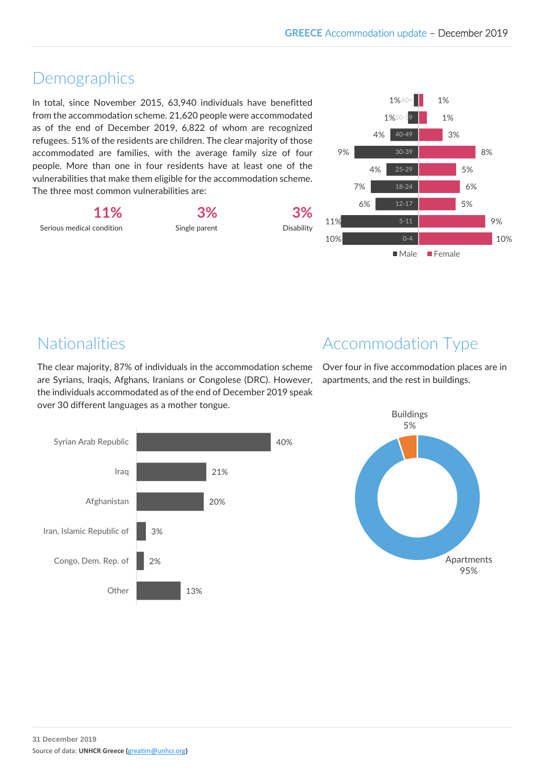#### Demographics

In total, since November 2015, 63,940 individuals have benefitted from the accommodation scheme. 21,620 people were accommodated as of the end of December 2019, 6,822 of whom are recognized refugees. 51% of the residents are children. The clear majority of those accommodated are families, with the average family size of four people. More than one in four residents have at least one of the vulnerabilities that make them eligible for the accommodation scheme. The three most common vulnerabilities are:

**11%** Serious medical condition

**3%** Single parent



10% 9% 5% 6% 5% 8% 3% 1% 1% 10% 11% 6% 7% 4% 9% 4% 40-49 1% 50-59 1% 60+ 0-4 5-11 18-24 30-39 Male Female

## Nationalities

The clear majority, 87% of individuals in the accommodation scheme are Syrians, Iraqis, Afghans, Iranians or Congolese (DRC). However, the individuals accommodated as of the end of December 2019 speak over 30 different languages as a mother tongue.

## Accommodation Type

Over four in five accommodation places are in apartments, and the rest in buildings.



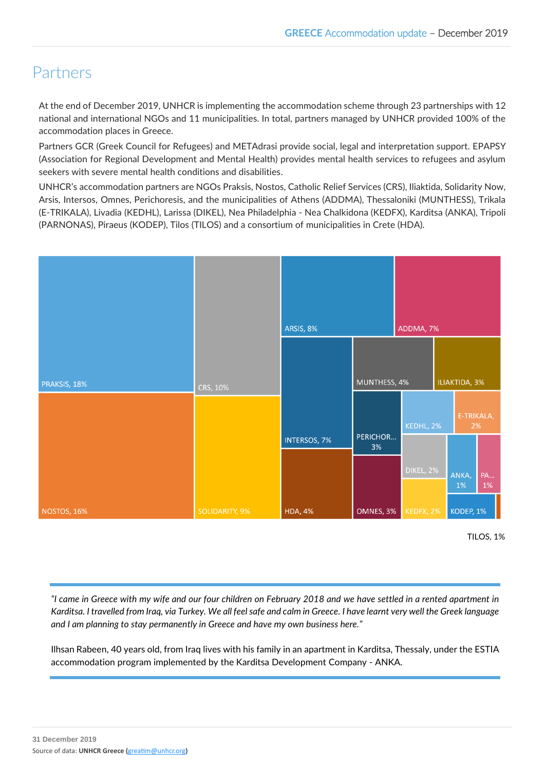## Partners

At the end of December 2019, UNHCR is implementing the accommodation scheme through 23 partnerships with 12 national and international NGOs and 11 municipalities. In total, partners managed by UNHCR provided 100% of the accommodation places in Greece.

Partners GCR (Greek Council for Refugees) and METAdrasi provide social, legal and interpretation support. EPAPSY (Association for Regional Development and Mental Health) provides mental health services to refugees and asylum seekers with severe mental health conditions and disabilities.

UNHCR's accommodation partners are NGOs Praksis, Nostos, Catholic Relief Services (CRS), Iliaktida, Solidarity Now, Arsis, Intersos, Omnes, Perichoresis, and the municipalities of Athens (ADDMA), Thessaloniki (MUNTHESS), Trikala (E-TRIKALA), Livadia (KEDHL), Larissa (DIKEL), Nea Philadelphia - Nea Chalkidona (KEDFX), Karditsa (ANKA), Tripoli (PARNONAS), Piraeus (KODEP), Tilos (TILOS) and a consortium of municipalities in Crete (HDA).



TILOS, 1%

*"I came in Greece with my wife and our four children on February 2018 and we have settled in a rented apartment in Karditsa. I travelled from Iraq, via Turkey. We all feel safe and calm in Greece. I have learnt very well the Greek language and I am planning to stay permanently in Greece and have my own business here."*

Ilhsan Rabeen, 40 years old, from Iraq lives with his family in an apartment in Karditsa, Thessaly, under the ESTIA accommodation program implemented by the Karditsa Development Company - ANKA.